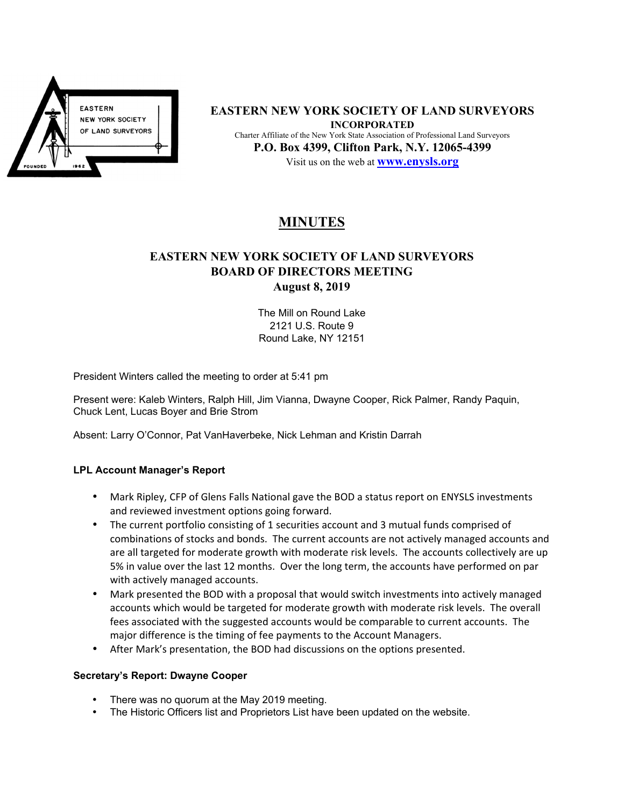

**EASTERN NEW YORK SOCIETY OF LAND SURVEYORS INCORPORATED**  Charter Affiliate of the New York State Association of Professional Land Surveyors **P.O. Box 4399, Clifton Park, N.Y. 12065-4399**  Visit us on the web at **www.enysls.org**

# **MINUTES**

## **EASTERN NEW YORK SOCIETY OF LAND SURVEYORS BOARD OF DIRECTORS MEETING August 8, 2019**

The Mill on Round Lake 2121 U.S. Route 9 Round Lake, NY 12151

President Winters called the meeting to order at 5:41 pm

Present were: Kaleb Winters, Ralph Hill, Jim Vianna, Dwayne Cooper, Rick Palmer, Randy Paquin, Chuck Lent, Lucas Boyer and Brie Strom

Absent: Larry O'Connor, Pat VanHaverbeke, Nick Lehman and Kristin Darrah

#### **LPL Account Manager's Report**

- Mark Ripley, CFP of Glens Falls National gave the BOD a status report on ENYSLS investments and reviewed investment options going forward.
- The current portfolio consisting of 1 securities account and 3 mutual funds comprised of combinations of stocks and bonds. The current accounts are not actively managed accounts and are all targeted for moderate growth with moderate risk levels. The accounts collectively are up 5% in value over the last 12 months. Over the long term, the accounts have performed on par with actively managed accounts.
- Mark presented the BOD with a proposal that would switch investments into actively managed accounts which would be targeted for moderate growth with moderate risk levels. The overall fees associated with the suggested accounts would be comparable to current accounts. The major difference is the timing of fee payments to the Account Managers.
- After Mark's presentation, the BOD had discussions on the options presented.

#### **Secretary's Report: Dwayne Cooper**

- There was no quorum at the May 2019 meeting.
- The Historic Officers list and Proprietors List have been updated on the website.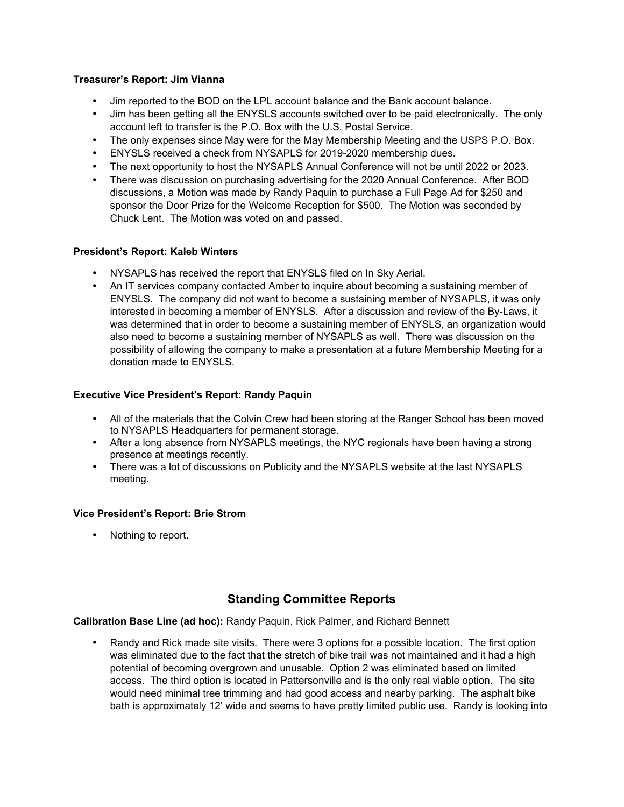#### **Treasurer's Report: Jim Vianna**

- Jim reported to the BOD on the LPL account balance and the Bank account balance.
- Jim has been getting all the ENYSLS accounts switched over to be paid electronically. The only account left to transfer is the P.O. Box with the U.S. Postal Service.
- The only expenses since May were for the May Membership Meeting and the USPS P.O. Box.
- ENYSLS received a check from NYSAPLS for 2019-2020 membership dues.
- The next opportunity to host the NYSAPLS Annual Conference will not be until 2022 or 2023.
- There was discussion on purchasing advertising for the 2020 Annual Conference. After BOD discussions, a Motion was made by Randy Paquin to purchase a Full Page Ad for \$250 and sponsor the Door Prize for the Welcome Reception for \$500. The Motion was seconded by Chuck Lent. The Motion was voted on and passed.

#### **President's Report: Kaleb Winters**

- NYSAPLS has received the report that ENYSLS filed on In Sky Aerial.
- An IT services company contacted Amber to inquire about becoming a sustaining member of ENYSLS. The company did not want to become a sustaining member of NYSAPLS, it was only interested in becoming a member of ENYSLS. After a discussion and review of the By-Laws, it was determined that in order to become a sustaining member of ENYSLS, an organization would also need to become a sustaining member of NYSAPLS as well. There was discussion on the possibility of allowing the company to make a presentation at a future Membership Meeting for a donation made to ENYSLS.

#### **Executive Vice President's Report: Randy Paquin**

- All of the materials that the Colvin Crew had been storing at the Ranger School has been moved to NYSAPLS Headquarters for permanent storage.
- After a long absence from NYSAPLS meetings, the NYC regionals have been having a strong presence at meetings recently.
- There was a lot of discussions on Publicity and the NYSAPLS website at the last NYSAPLS meeting.

#### **Vice President's Report: Brie Strom**

• Nothing to report.

### **Standing Committee Reports**

**Calibration Base Line (ad hoc):** Randy Paquin, Rick Palmer, and Richard Bennett

• Randy and Rick made site visits. There were 3 options for a possible location. The first option was eliminated due to the fact that the stretch of bike trail was not maintained and it had a high potential of becoming overgrown and unusable. Option 2 was eliminated based on limited access. The third option is located in Pattersonville and is the only real viable option. The site would need minimal tree trimming and had good access and nearby parking. The asphalt bike bath is approximately 12' wide and seems to have pretty limited public use. Randy is looking into